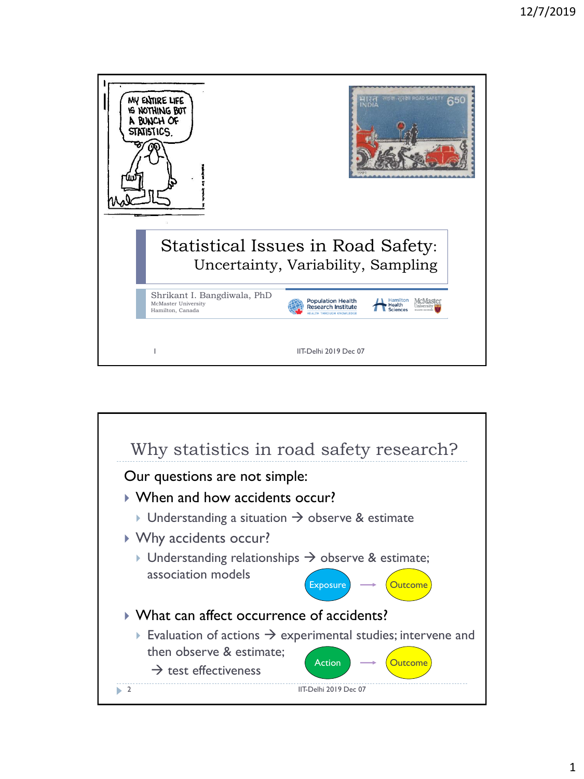

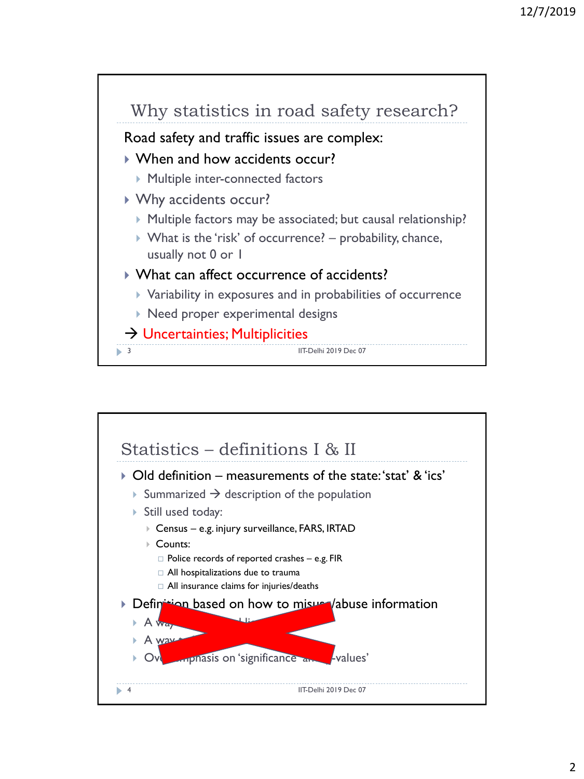

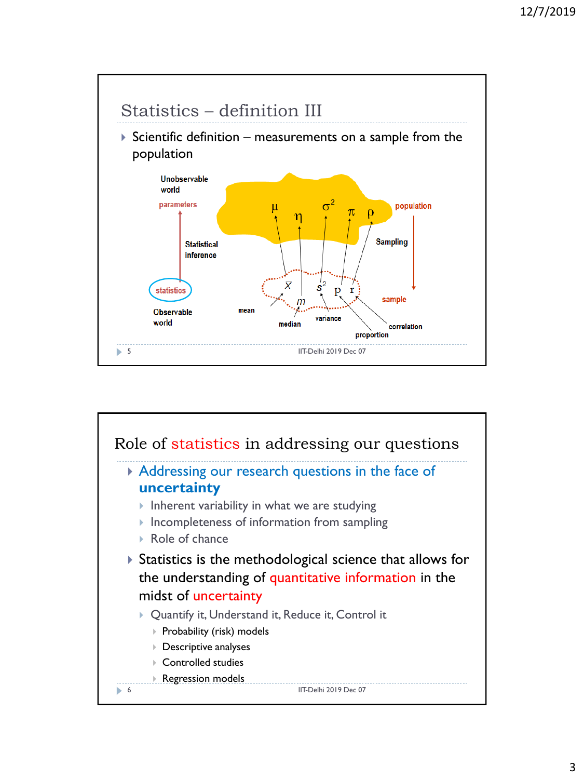

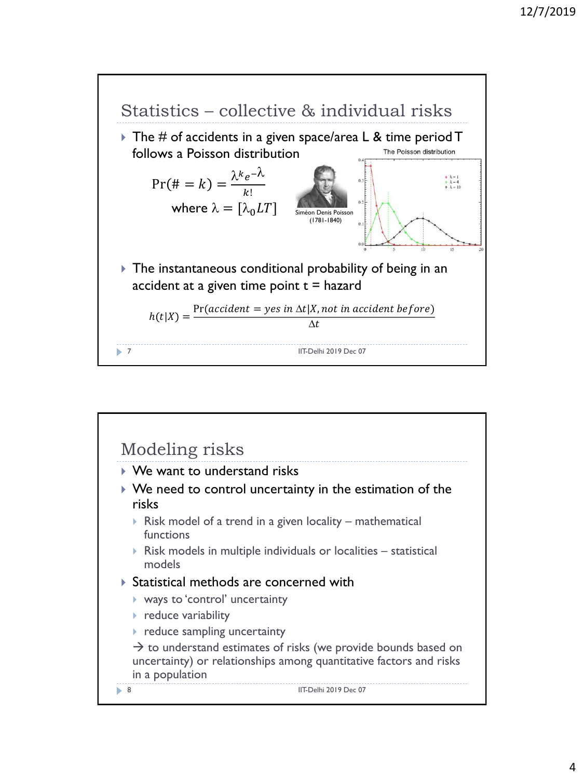

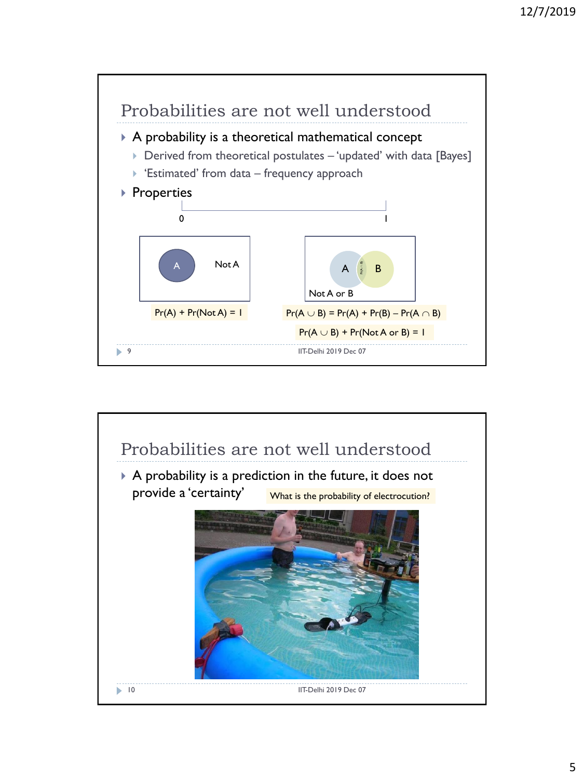

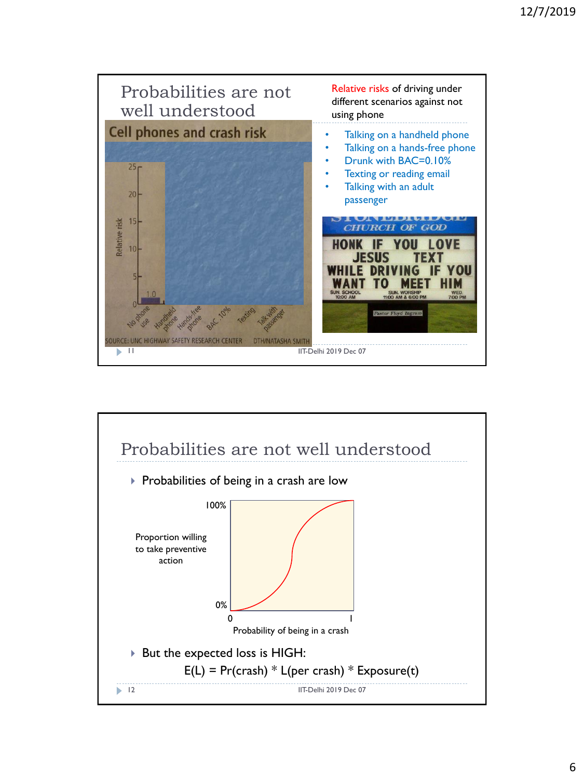

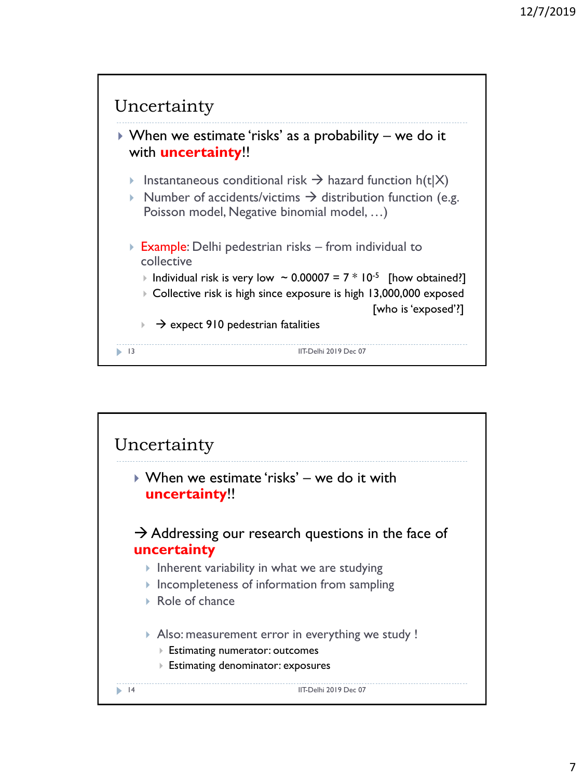

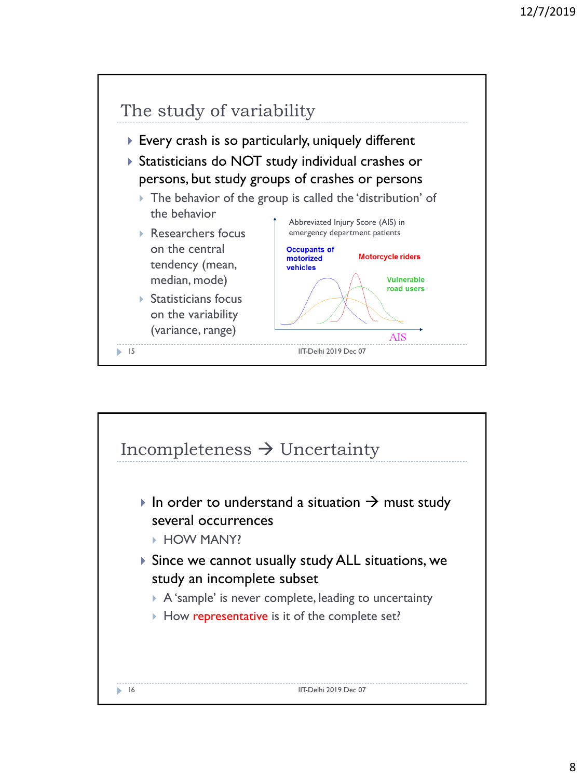

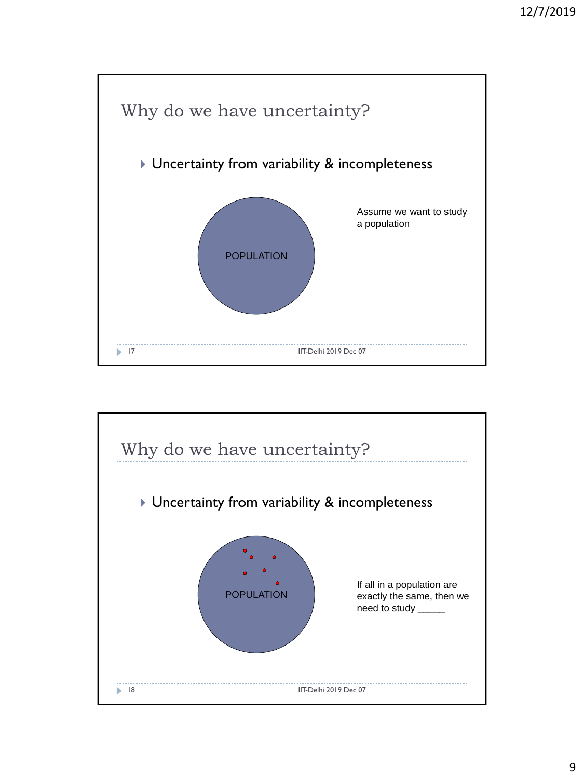

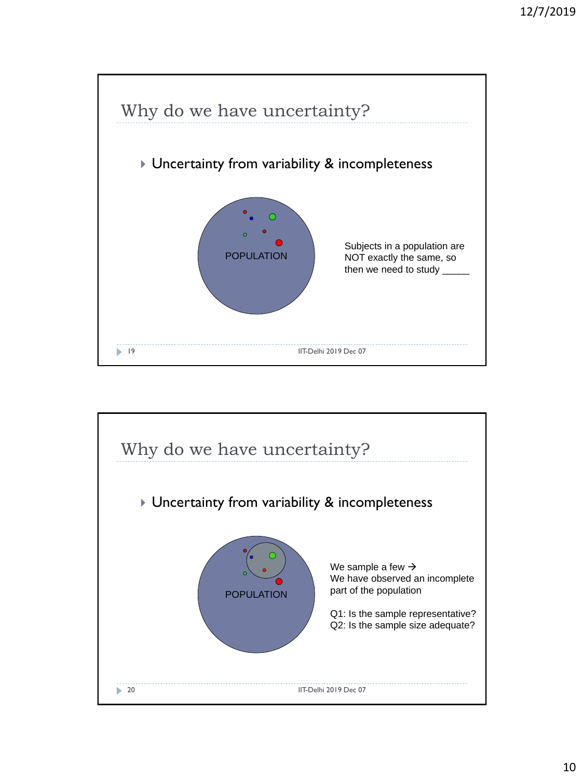

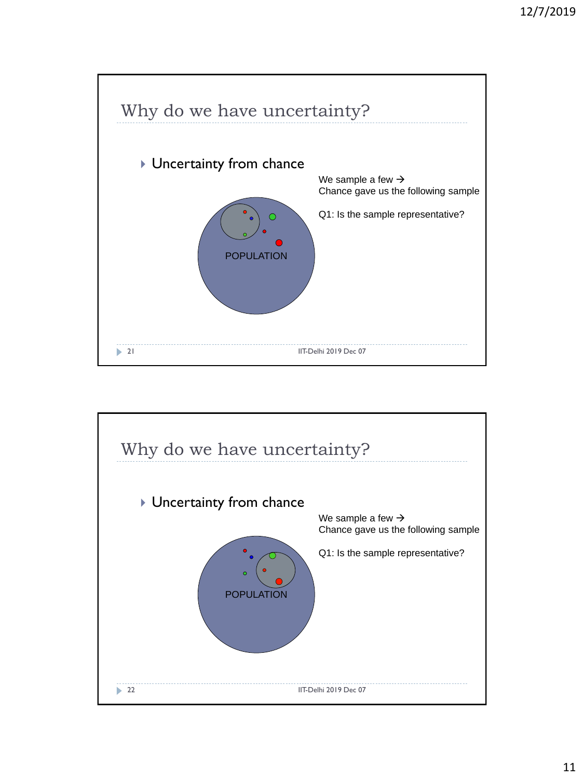

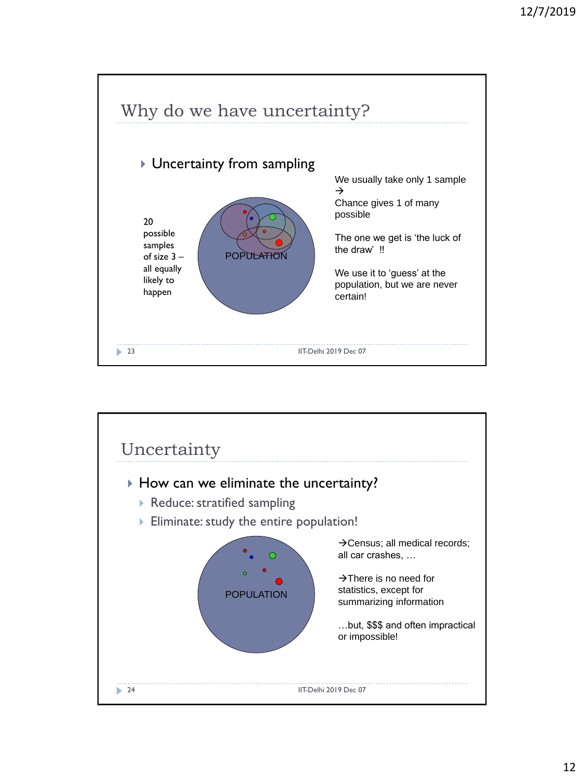

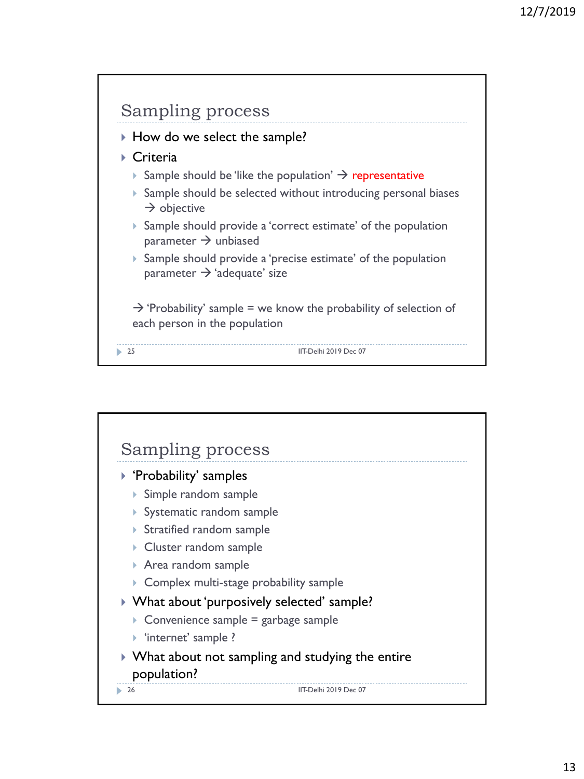

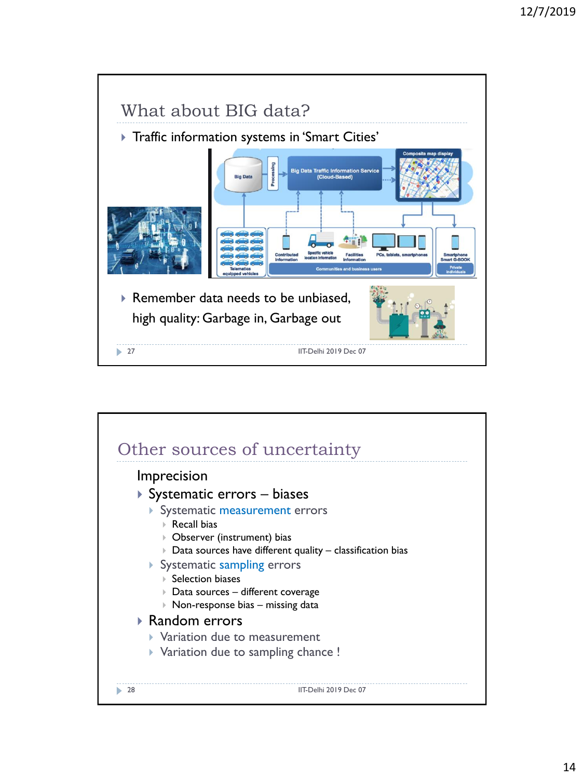

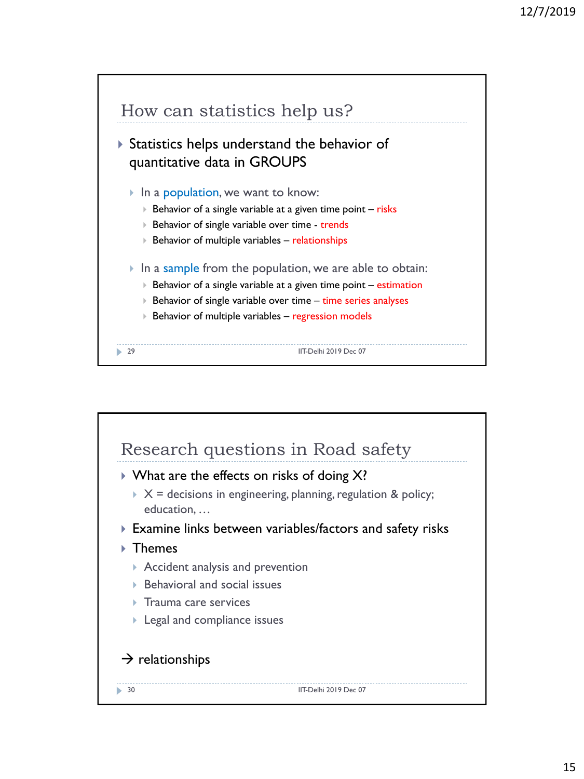